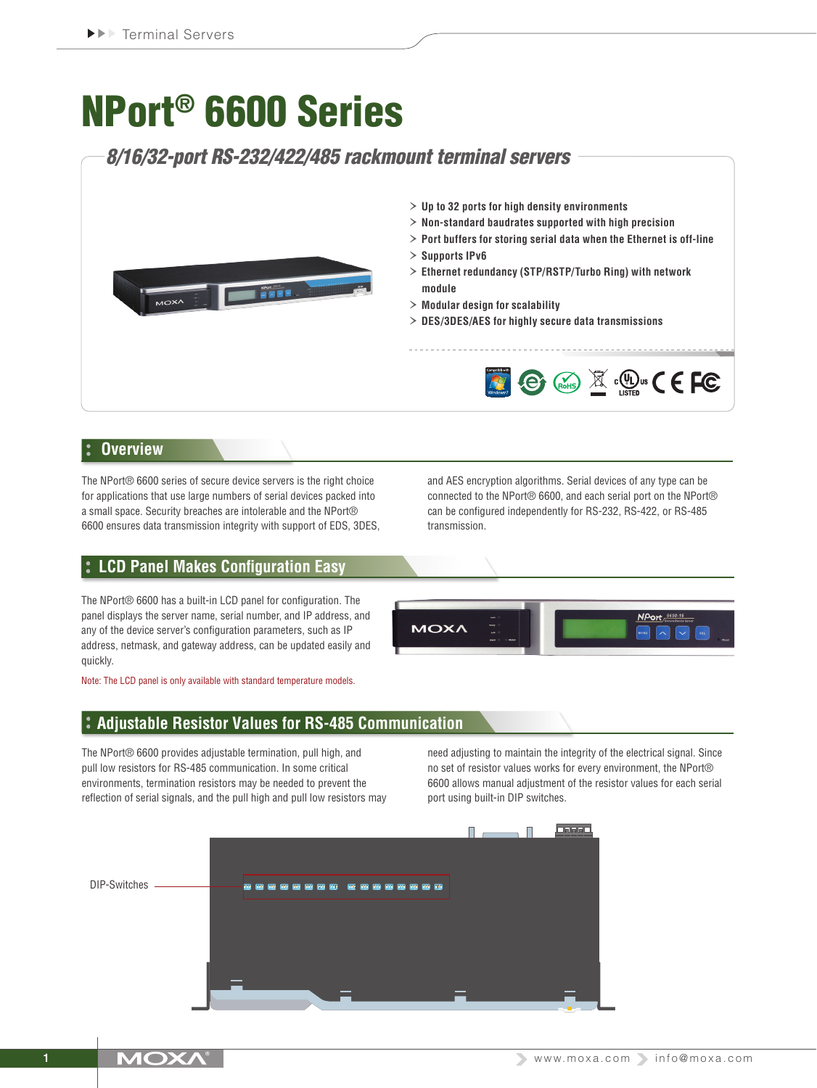# NPort® 6600 Series

# *8/16/32-port RS-232/422/485 rackmount terminal servers*



## **Overview**

The NPort® 6600 series of secure device servers is the right choice for applications that use large numbers of serial devices packed into a small space. Security breaches are intolerable and the NPort® 6600 ensures data transmission integrity with support of EDS, 3DES,

# **LCD Panel Makes Configuration Easy**

The NPort® 6600 has a built-in LCD panel for configuration. The panel displays the server name, serial number, and IP address, and any of the device server's configuration parameters, such as IP address, netmask, and gateway address, can be updated easily and quickly.

Note: The LCD panel is only available with standard temperature models.

# **Adjustable Resistor Values for RS-485 Communication**

The NPort® 6600 provides adjustable termination, pull high, and pull low resistors for RS-485 communication. In some critical environments, termination resistors may be needed to prevent the reflection of serial signals, and the pull high and pull low resistors may can be configured independently for RS-232, RS-422, or RS-485 transmission.

and AES encryption algorithms. Serial devices of any type can be connected to the NPort® 6600, and each serial port on the NPort®



need adjusting to maintain the integrity of the electrical signal. Since no set of resistor values works for every environment, the NPort® 6600 allows manual adjustment of the resistor values for each serial port using built-in DIP switches.

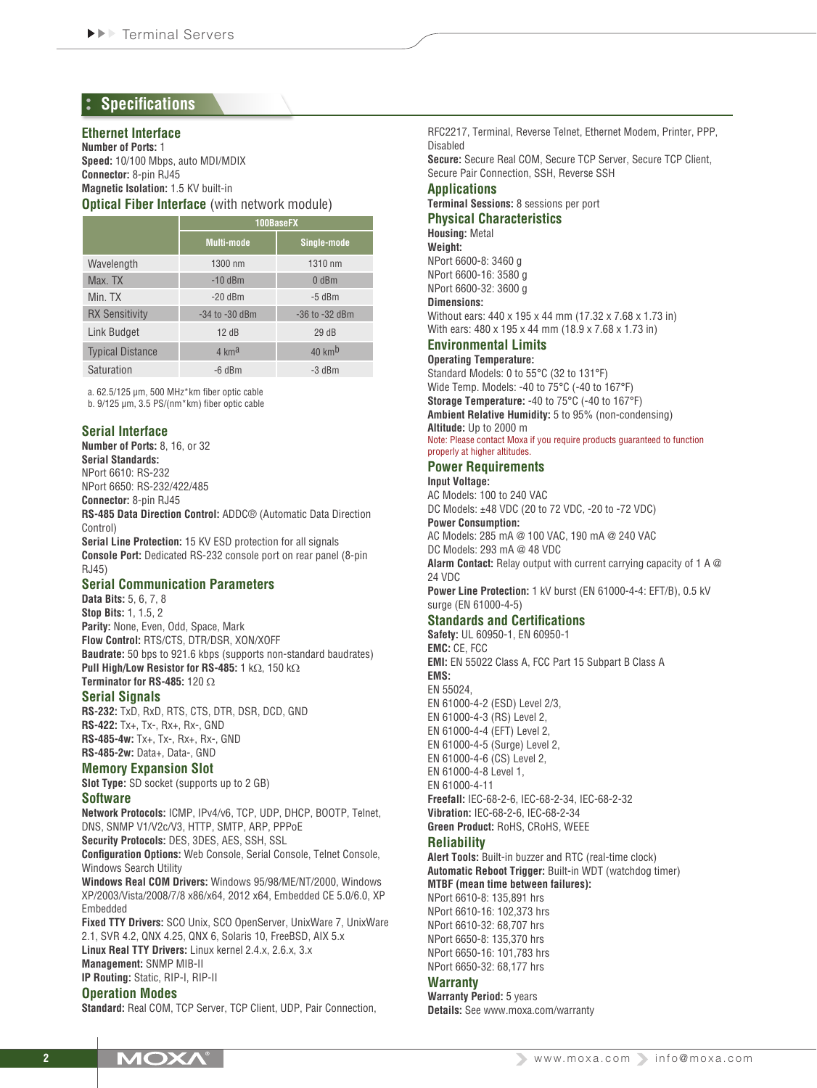# **Specifications**

#### **Ethernet Interface**

**Number of Ports:** 1 **Speed:** 10/100 Mbps, auto MDI/MDIX **Connector:** 8-pin RJ45 **Magnetic Isolation:** 1.5 KV built-in

#### **Optical Fiber Interface** (with network module)

|                         | 100BaseFX          |                            |  |  |  |  |
|-------------------------|--------------------|----------------------------|--|--|--|--|
|                         | <b>Multi-mode</b>  | Single-mode                |  |  |  |  |
| Wavelength              | 1300 nm            | 1310 nm                    |  |  |  |  |
| Max. TX                 | $-10$ dBm          | $0$ dBm                    |  |  |  |  |
| Min. TX                 | $-20$ dBm          | $-5$ dBm                   |  |  |  |  |
| <b>RX Sensitivity</b>   | $-34$ to $-30$ dBm | $-36$ to $-32$ dBm         |  |  |  |  |
| Link Budget             | 12dB               | 29dB                       |  |  |  |  |
| <b>Typical Distance</b> | $4 \text{ km}^2$   | $40 \text{ km}^{\text{b}}$ |  |  |  |  |
| Saturation              | $-6$ dBm           | $-3$ dBm                   |  |  |  |  |

a. 62.5/125 μm, 500 MHz\*km fiber optic cable b. 9/125 μm, 3.5 PS/(nm\*km) fiber optic cable

## **Serial Interface**

**Number of Ports:** 8, 16, or 32 **Serial Standards:** NPort 6610: RS-232 NPort 6650: RS-232/422/485 **Connector:** 8-pin RJ45

**RS-485 Data Direction Control:** ADDC® (Automatic Data Direction Control) **Serial Line Protection:** 15 KV ESD protection for all signals

**Console Port:** Dedicated RS-232 console port on rear panel (8-pin RJ45)

## **Serial Communication Parameters**

**Data Bits:** 5, 6, 7, 8 **Stop Bits:** 1, 1.5, 2 **Parity:** None, Even, Odd, Space, Mark **Flow Control:** RTS/CTS, DTR/DSR, XON/XOFF **Baudrate:** 50 bps to 921.6 kbps (supports non-standard baudrates) **Pull High/Low Resistor for RS-485:** 1 kΩ, 150 kΩ **Terminator for RS-485:** 120 Ω

## **Serial Signals**

**RS-232:** TxD, RxD, RTS, CTS, DTR, DSR, DCD, GND **RS-422:** Tx+, Tx-, Rx+, Rx-, GND **RS-485-4w:** Tx+, Tx-, Rx+, Rx-, GND **RS-485-2w:** Data+, Data-, GND

## **Memory Expansion Slot**

**Slot Type:** SD socket (supports up to 2 GB)

#### **Software**

**Network Protocols:** ICMP, IPv4/v6, TCP, UDP, DHCP, BOOTP, Telnet, DNS, SNMP V1/V2c/V3, HTTP, SMTP, ARP, PPPoE **Security Protocols:** DES, 3DES, AES, SSH, SSL

**Configuration Options:** Web Console, Serial Console, Telnet Console, Windows Search Utility

**Windows Real COM Drivers:** Windows 95/98/ME/NT/2000, Windows XP/2003/Vista/2008/7/8 x86/x64, 2012 x64, Embedded CE 5.0/6.0, XP Embedded

**Fixed TTY Drivers:** SCO Unix, SCO OpenServer, UnixWare 7, UnixWare 2.1, SVR 4.2, QNX 4.25, QNX 6, Solaris 10, FreeBSD, AIX 5.x **Linux Real TTY Drivers:** Linux kernel 2.4.x, 2.6.x, 3.x **Management:** SNMP MIB-II **IP Routing:** Static, RIP-I, RIP-II

#### **Operation Modes**

**Standard:** Real COM, TCP Server, TCP Client, UDP, Pair Connection,

RFC2217, Terminal, Reverse Telnet, Ethernet Modem, Printer, PPP, Disabled

**Secure:** Secure Real COM, Secure TCP Server, Secure TCP Client, Secure Pair Connection, SSH, Reverse SSH

#### **Applications**

**Terminal Sessions:** 8 sessions per port

**Physical Characteristics Housing:** Metal

**Weight:** NPort 6600-8: 3460 g NPort 6600-16: 3580 g NPort 6600-32: 3600 g **Dimensions:** Without ears: 440 x 195 x 44 mm (17.32 x 7.68 x 1.73 in)

With ears: 480 x 195 x 44 mm (18.9 x 7.68 x 1.73 in)

## **Environmental Limits**

**Operating Temperature:**

Standard Models: 0 to 55°C (32 to 131°F) Wide Temp. Models: -40 to 75°C (-40 to 167°F) **Storage Temperature:** -40 to 75°C (-40 to 167°F) **Ambient Relative Humidity:** 5 to 95% (non-condensing)

#### **Altitude:** Up to 2000 m Note: Please contact Moxa if you require products guaranteed to function properly at higher altitudes.

#### **Power Requirements**

**Input Voltage:** AC Models: 100 to 240 VAC DC Models: ±48 VDC (20 to 72 VDC, -20 to -72 VDC) **Power Consumption:** AC Models: 285 mA @ 100 VAC, 190 mA @ 240 VAC DC Models: 293 mA @ 48 VDC **Alarm Contact:** Relay output with current carrying capacity of 1 A @ 24 VDC **Power Line Protection:** 1 kV burst (EN 61000-4-4: EFT/B), 0.5 kV surge (EN 61000-4-5) **Standards and Certifications Safety:** UL 60950-1, EN 60950-1 **EMC:** CE, FCC **EMI:** EN 55022 Class A, FCC Part 15 Subpart B Class A **EMS:** EN 55024, EN 61000-4-2 (ESD) Level 2/3, EN 61000-4-3 (RS) Level 2,

EN 61000-4-4 (EFT) Level 2, EN 61000-4-5 (Surge) Level 2, EN 61000-4-6 (CS) Level 2, EN 61000-4-8 Level 1, EN 61000-4-11 **Freefall:** IEC-68-2-6, IEC-68-2-34, IEC-68-2-32 **Vibration:** IEC-68-2-6, IEC-68-2-34 **Green Product:** RoHS, CRoHS, WEEE

#### **Reliability**

**Alert Tools:** Built-in buzzer and RTC (real-time clock) **Automatic Reboot Trigger:** Built-in WDT (watchdog timer) **MTBF (mean time between failures):** NPort 6610-8: 135,891 hrs NPort 6610-16: 102,373 hrs NPort 6610-32: 68,707 hrs NPort 6650-8: 135,370 hrs NPort 6650-16: 101,783 hrs NPort 6650-32: 68,177 hrs

#### **Warranty**

**Warranty Period:** 5 years **Details:** See www.moxa.com/warranty